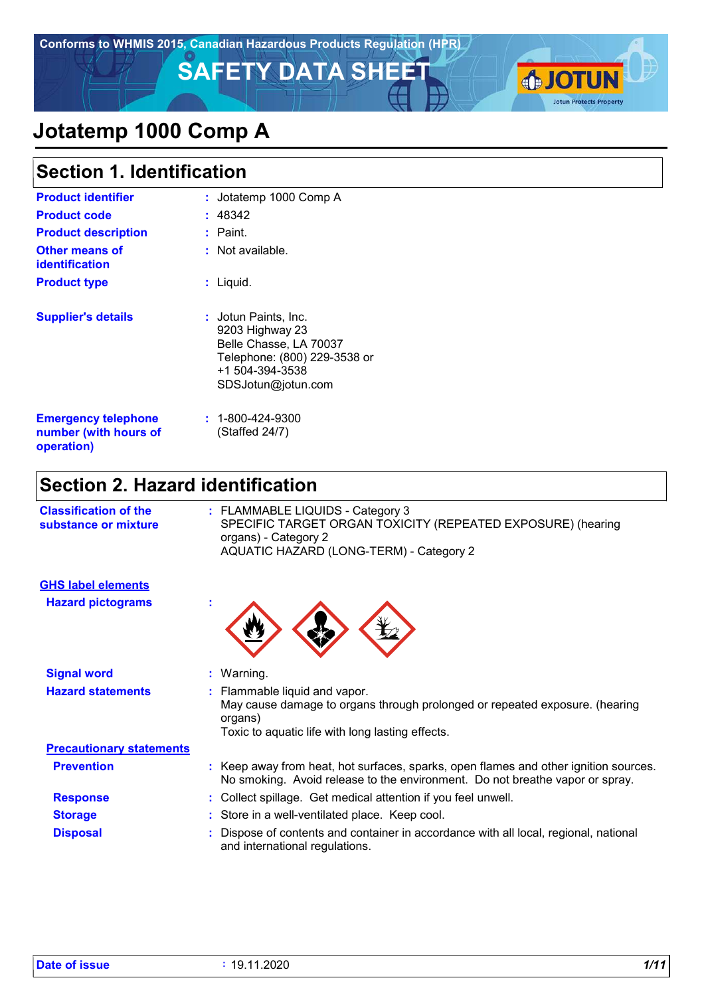**Conforms to WHMIS 2015, Canadian Hazardous Products Regulation (HPR)**

# **SAFETY DATA SHEET AND LOTUN**



# **Jotatemp 1000 Comp A**

| <b>Section 1. Identification</b>                                  |                                                                                                                                                    |  |  |
|-------------------------------------------------------------------|----------------------------------------------------------------------------------------------------------------------------------------------------|--|--|
| <b>Product identifier</b>                                         | Jotatemp 1000 Comp A<br>t.                                                                                                                         |  |  |
| <b>Product code</b>                                               | 48342                                                                                                                                              |  |  |
| <b>Product description</b>                                        | : Paint.                                                                                                                                           |  |  |
| <b>Other means of</b><br><b>identification</b>                    | $:$ Not available.                                                                                                                                 |  |  |
| <b>Product type</b>                                               | : Liquid.                                                                                                                                          |  |  |
| <b>Supplier's details</b>                                         | <b>: J</b> otun Paints, Inc.<br>9203 Highway 23<br>Belle Chasse, LA 70037<br>Telephone: (800) 229-3538 or<br>+1 504-394-3538<br>SDSJotun@jotun.com |  |  |
| <b>Emergency telephone</b><br>number (with hours of<br>operation) | $: 1 - 800 - 424 - 9300$<br>(Staffed 24/7)                                                                                                         |  |  |

# **Section 2. Hazard identification**

**Hazard pictograms :**

**GHS label elements**

| <b>Classification of the</b><br>substance or mixture | : FLAMMABLE LIQUIDS - Category 3<br>SPECIFIC TARGET ORGAN TOXICITY (REPEATED EXPOSURE) (hearing<br>organs) - Category 2<br>AQUATIC HAZARD (LONG-TERM) - Category 2 |
|------------------------------------------------------|--------------------------------------------------------------------------------------------------------------------------------------------------------------------|
|                                                      |                                                                                                                                                                    |

|  | ъ<br>. |  |
|--|--------|--|
|--|--------|--|

| <b>Signal word</b>              | $:$ Warning.                                                                                                                                                                |
|---------------------------------|-----------------------------------------------------------------------------------------------------------------------------------------------------------------------------|
| <b>Hazard statements</b>        | : Flammable liquid and vapor.<br>May cause damage to organs through prolonged or repeated exposure. (hearing<br>organs)<br>Toxic to aquatic life with long lasting effects. |
| <b>Precautionary statements</b> |                                                                                                                                                                             |
| <b>Prevention</b>               | : Keep away from heat, hot surfaces, sparks, open flames and other ignition sources.<br>No smoking. Avoid release to the environment. Do not breathe vapor or spray.        |
| <b>Response</b>                 | : Collect spillage. Get medical attention if you feel unwell.                                                                                                               |
| <b>Storage</b>                  | : Store in a well-ventilated place. Keep cool.                                                                                                                              |
| <b>Disposal</b>                 | : Dispose of contents and container in accordance with all local, regional, national<br>and international regulations.                                                      |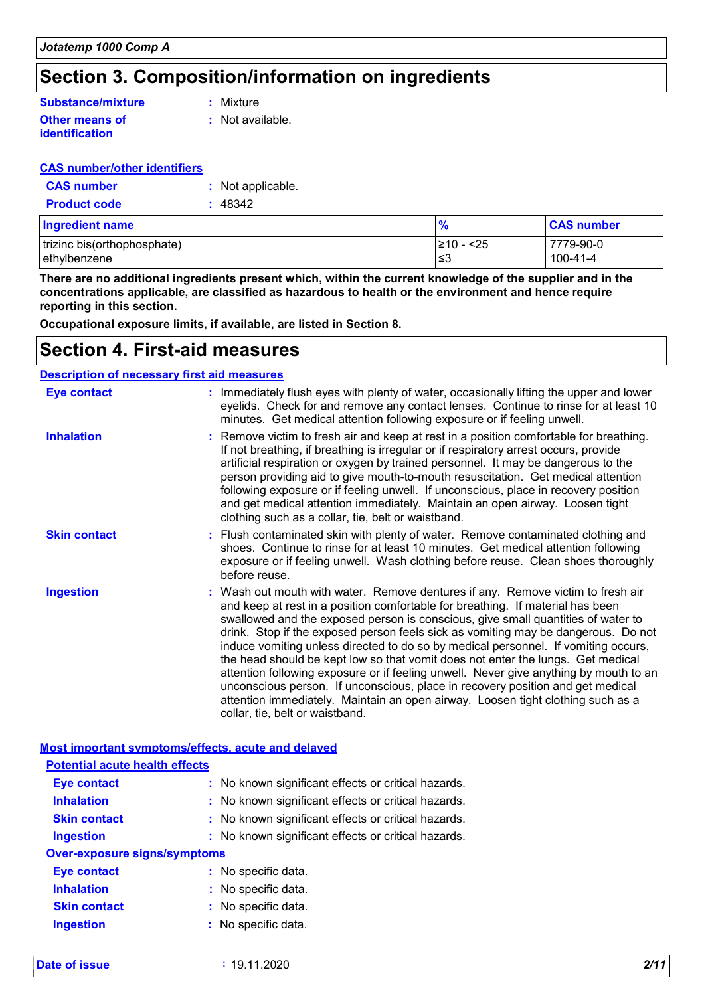# **Section 3. Composition/information on ingredients**

#### **Other means of identification Substance/mixture**

**:** Mixture

**:** Not available.

#### **CAS number/other identifiers**

| <b>CAS number</b>   | : Not applicable. |
|---------------------|-------------------|
| <b>Product code</b> | : 48342           |

| <b>Ingredient name</b>      | $\frac{9}{6}$  | <b>CAS number</b> |
|-----------------------------|----------------|-------------------|
| trizinc bis(orthophosphate) | $\geq 10 - 25$ | 7779-90-0         |
| ethylbenzene                | ו≥ ≥           | 100-41-4          |

**There are no additional ingredients present which, within the current knowledge of the supplier and in the concentrations applicable, are classified as hazardous to health or the environment and hence require reporting in this section.**

**Occupational exposure limits, if available, are listed in Section 8.**

### **Section 4. First-aid measures**

| <b>Description of necessary first aid measures</b> |                                                                                                                                                                                                                                                                                                                                                                                                                                                                                                                                                                                                                                                                                                                                                                                                                      |  |
|----------------------------------------------------|----------------------------------------------------------------------------------------------------------------------------------------------------------------------------------------------------------------------------------------------------------------------------------------------------------------------------------------------------------------------------------------------------------------------------------------------------------------------------------------------------------------------------------------------------------------------------------------------------------------------------------------------------------------------------------------------------------------------------------------------------------------------------------------------------------------------|--|
| <b>Eye contact</b>                                 | : Immediately flush eyes with plenty of water, occasionally lifting the upper and lower<br>eyelids. Check for and remove any contact lenses. Continue to rinse for at least 10<br>minutes. Get medical attention following exposure or if feeling unwell.                                                                                                                                                                                                                                                                                                                                                                                                                                                                                                                                                            |  |
| <b>Inhalation</b>                                  | : Remove victim to fresh air and keep at rest in a position comfortable for breathing.<br>If not breathing, if breathing is irregular or if respiratory arrest occurs, provide<br>artificial respiration or oxygen by trained personnel. It may be dangerous to the<br>person providing aid to give mouth-to-mouth resuscitation. Get medical attention<br>following exposure or if feeling unwell. If unconscious, place in recovery position<br>and get medical attention immediately. Maintain an open airway. Loosen tight<br>clothing such as a collar, tie, belt or waistband.                                                                                                                                                                                                                                 |  |
| <b>Skin contact</b>                                | : Flush contaminated skin with plenty of water. Remove contaminated clothing and<br>shoes. Continue to rinse for at least 10 minutes. Get medical attention following<br>exposure or if feeling unwell. Wash clothing before reuse. Clean shoes thoroughly<br>before reuse.                                                                                                                                                                                                                                                                                                                                                                                                                                                                                                                                          |  |
| <b>Ingestion</b>                                   | : Wash out mouth with water. Remove dentures if any. Remove victim to fresh air<br>and keep at rest in a position comfortable for breathing. If material has been<br>swallowed and the exposed person is conscious, give small quantities of water to<br>drink. Stop if the exposed person feels sick as vomiting may be dangerous. Do not<br>induce vomiting unless directed to do so by medical personnel. If vomiting occurs,<br>the head should be kept low so that vomit does not enter the lungs. Get medical<br>attention following exposure or if feeling unwell. Never give anything by mouth to an<br>unconscious person. If unconscious, place in recovery position and get medical<br>attention immediately. Maintain an open airway. Loosen tight clothing such as a<br>collar, tie, belt or waistband. |  |

**Most important symptoms/effects, acute and delayed**

| <b>Potential acute health effects</b> |                                                     |
|---------------------------------------|-----------------------------------------------------|
| Eye contact                           | : No known significant effects or critical hazards. |
| <b>Inhalation</b>                     | : No known significant effects or critical hazards. |
| <b>Skin contact</b>                   | : No known significant effects or critical hazards. |
| <b>Ingestion</b>                      | : No known significant effects or critical hazards. |
| Over-exposure signs/symptoms          |                                                     |
| Eye contact                           | : No specific data.                                 |
| <b>Inhalation</b>                     | : No specific data.                                 |
| <b>Skin contact</b>                   | : No specific data.                                 |
| <b>Ingestion</b>                      | : No specific data.                                 |

|  | <b>Date of issue</b> |  |
|--|----------------------|--|
|  |                      |  |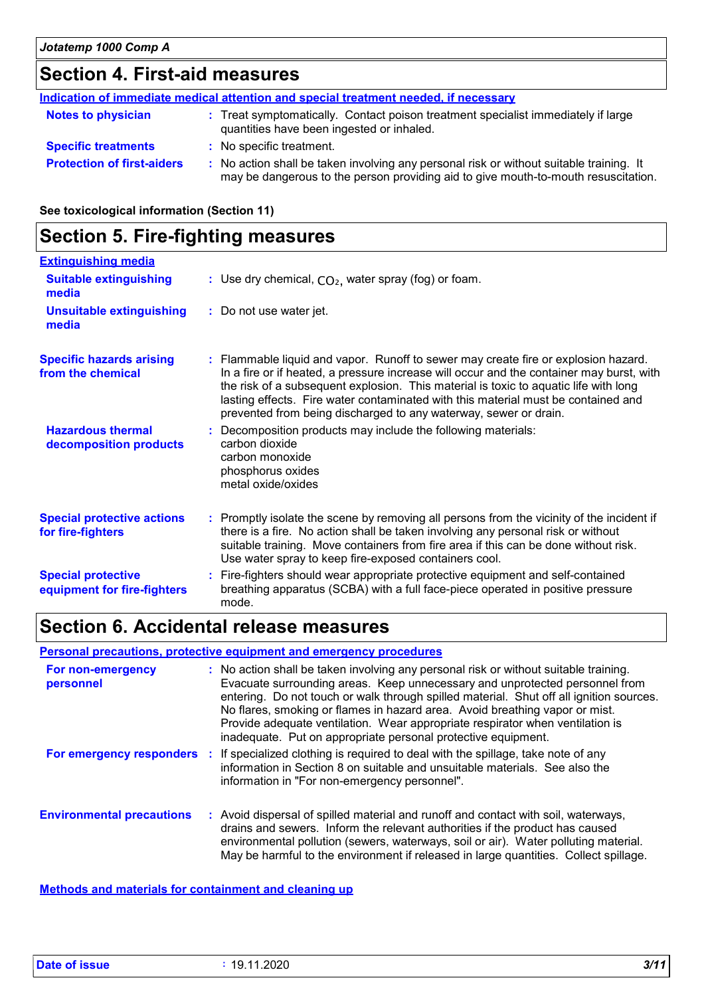# **Section 4. First-aid measures**

|                                   | Indication of immediate medical attention and special treatment needed, if necessary                                                                                          |
|-----------------------------------|-------------------------------------------------------------------------------------------------------------------------------------------------------------------------------|
| <b>Notes to physician</b>         | : Treat symptomatically. Contact poison treatment specialist immediately if large<br>quantities have been ingested or inhaled.                                                |
| <b>Specific treatments</b>        | : No specific treatment.                                                                                                                                                      |
| <b>Protection of first-aiders</b> | : No action shall be taken involving any personal risk or without suitable training. It<br>may be dangerous to the person providing aid to give mouth-to-mouth resuscitation. |

**See toxicological information (Section 11)**

| <b>Extinguishing media</b>                               |                                                                                                                                                                                                                                                                                                                                                                                                                                 |
|----------------------------------------------------------|---------------------------------------------------------------------------------------------------------------------------------------------------------------------------------------------------------------------------------------------------------------------------------------------------------------------------------------------------------------------------------------------------------------------------------|
| <b>Suitable extinguishing</b><br>media                   | : Use dry chemical, $CO2$ , water spray (fog) or foam.                                                                                                                                                                                                                                                                                                                                                                          |
| <b>Unsuitable extinguishing</b><br>media                 | : Do not use water jet.                                                                                                                                                                                                                                                                                                                                                                                                         |
| <b>Specific hazards arising</b><br>from the chemical     | : Flammable liquid and vapor. Runoff to sewer may create fire or explosion hazard.<br>In a fire or if heated, a pressure increase will occur and the container may burst, with<br>the risk of a subsequent explosion. This material is toxic to aquatic life with long<br>lasting effects. Fire water contaminated with this material must be contained and<br>prevented from being discharged to any waterway, sewer or drain. |
| <b>Hazardous thermal</b><br>decomposition products       | : Decomposition products may include the following materials:<br>carbon dioxide<br>carbon monoxide<br>phosphorus oxides<br>metal oxide/oxides                                                                                                                                                                                                                                                                                   |
| <b>Special protective actions</b><br>for fire-fighters   | : Promptly isolate the scene by removing all persons from the vicinity of the incident if<br>there is a fire. No action shall be taken involving any personal risk or without<br>suitable training. Move containers from fire area if this can be done without risk.<br>Use water spray to keep fire-exposed containers cool.                                                                                                   |
| <b>Special protective</b><br>equipment for fire-fighters | : Fire-fighters should wear appropriate protective equipment and self-contained<br>breathing apparatus (SCBA) with a full face-piece operated in positive pressure<br>mode.                                                                                                                                                                                                                                                     |

# **Section 6. Accidental release measures**

#### **Personal precautions, protective equipment and emergency procedures**

| For non-emergency<br>personnel   | : No action shall be taken involving any personal risk or without suitable training.<br>Evacuate surrounding areas. Keep unnecessary and unprotected personnel from<br>entering. Do not touch or walk through spilled material. Shut off all ignition sources.<br>No flares, smoking or flames in hazard area. Avoid breathing vapor or mist.<br>Provide adequate ventilation. Wear appropriate respirator when ventilation is<br>inadequate. Put on appropriate personal protective equipment. |
|----------------------------------|-------------------------------------------------------------------------------------------------------------------------------------------------------------------------------------------------------------------------------------------------------------------------------------------------------------------------------------------------------------------------------------------------------------------------------------------------------------------------------------------------|
| For emergency responders         | : If specialized clothing is required to deal with the spillage, take note of any<br>information in Section 8 on suitable and unsuitable materials. See also the<br>information in "For non-emergency personnel".                                                                                                                                                                                                                                                                               |
| <b>Environmental precautions</b> | : Avoid dispersal of spilled material and runoff and contact with soil, waterways,<br>drains and sewers. Inform the relevant authorities if the product has caused<br>environmental pollution (sewers, waterways, soil or air). Water polluting material.<br>May be harmful to the environment if released in large quantities. Collect spillage.                                                                                                                                               |

**Methods and materials for containment and cleaning up**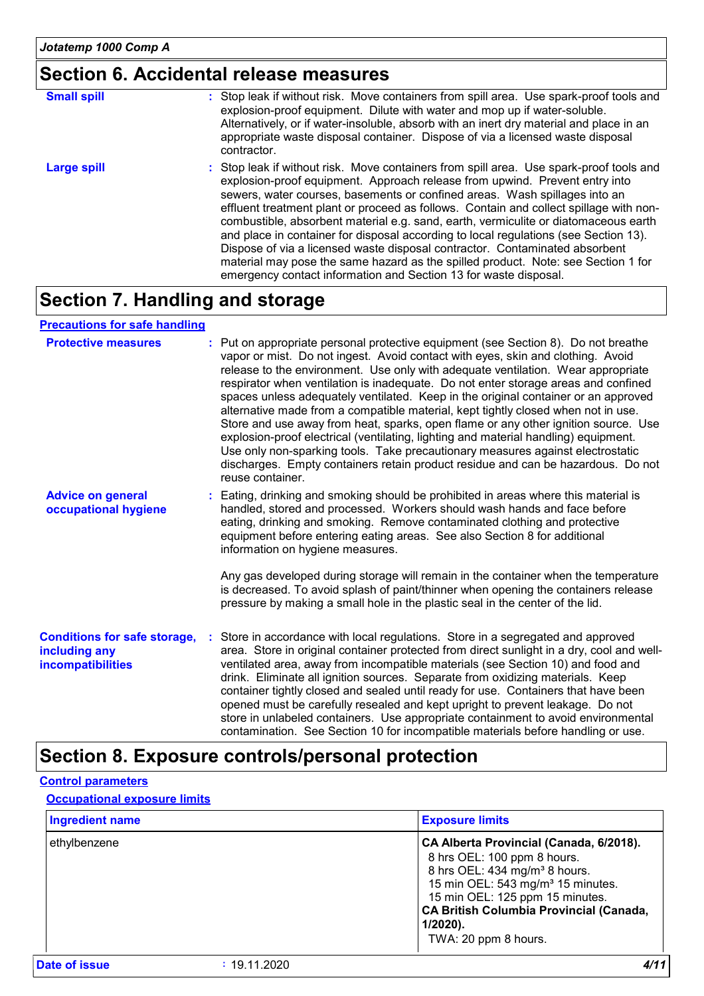# **Section 6. Accidental release measures**

| <b>Small spill</b> | : Stop leak if without risk. Move containers from spill area. Use spark-proof tools and<br>explosion-proof equipment. Dilute with water and mop up if water-soluble.<br>Alternatively, or if water-insoluble, absorb with an inert dry material and place in an<br>appropriate waste disposal container. Dispose of via a licensed waste disposal<br>contractor.                                                                                                                                                                                                                                                                                                                                                                                                      |
|--------------------|-----------------------------------------------------------------------------------------------------------------------------------------------------------------------------------------------------------------------------------------------------------------------------------------------------------------------------------------------------------------------------------------------------------------------------------------------------------------------------------------------------------------------------------------------------------------------------------------------------------------------------------------------------------------------------------------------------------------------------------------------------------------------|
| <b>Large spill</b> | : Stop leak if without risk. Move containers from spill area. Use spark-proof tools and<br>explosion-proof equipment. Approach release from upwind. Prevent entry into<br>sewers, water courses, basements or confined areas. Wash spillages into an<br>effluent treatment plant or proceed as follows. Contain and collect spillage with non-<br>combustible, absorbent material e.g. sand, earth, vermiculite or diatomaceous earth<br>and place in container for disposal according to local regulations (see Section 13).<br>Dispose of via a licensed waste disposal contractor. Contaminated absorbent<br>material may pose the same hazard as the spilled product. Note: see Section 1 for<br>emergency contact information and Section 13 for waste disposal. |

### **Section 7. Handling and storage**

#### **Precautions for safe handling**

| <b>Protective measures</b>                                                       | : Put on appropriate personal protective equipment (see Section 8). Do not breathe<br>vapor or mist. Do not ingest. Avoid contact with eyes, skin and clothing. Avoid<br>release to the environment. Use only with adequate ventilation. Wear appropriate<br>respirator when ventilation is inadequate. Do not enter storage areas and confined<br>spaces unless adequately ventilated. Keep in the original container or an approved<br>alternative made from a compatible material, kept tightly closed when not in use.<br>Store and use away from heat, sparks, open flame or any other ignition source. Use<br>explosion-proof electrical (ventilating, lighting and material handling) equipment.<br>Use only non-sparking tools. Take precautionary measures against electrostatic<br>discharges. Empty containers retain product residue and can be hazardous. Do not<br>reuse container. |
|----------------------------------------------------------------------------------|---------------------------------------------------------------------------------------------------------------------------------------------------------------------------------------------------------------------------------------------------------------------------------------------------------------------------------------------------------------------------------------------------------------------------------------------------------------------------------------------------------------------------------------------------------------------------------------------------------------------------------------------------------------------------------------------------------------------------------------------------------------------------------------------------------------------------------------------------------------------------------------------------|
| <b>Advice on general</b><br>occupational hygiene                                 | : Eating, drinking and smoking should be prohibited in areas where this material is<br>handled, stored and processed. Workers should wash hands and face before<br>eating, drinking and smoking. Remove contaminated clothing and protective<br>equipment before entering eating areas. See also Section 8 for additional<br>information on hygiene measures.                                                                                                                                                                                                                                                                                                                                                                                                                                                                                                                                     |
|                                                                                  | Any gas developed during storage will remain in the container when the temperature<br>is decreased. To avoid splash of paint/thinner when opening the containers release<br>pressure by making a small hole in the plastic seal in the center of the lid.                                                                                                                                                                                                                                                                                                                                                                                                                                                                                                                                                                                                                                         |
| <b>Conditions for safe storage,</b><br>including any<br><b>incompatibilities</b> | Store in accordance with local regulations. Store in a segregated and approved<br>area. Store in original container protected from direct sunlight in a dry, cool and well-<br>ventilated area, away from incompatible materials (see Section 10) and food and<br>drink. Eliminate all ignition sources. Separate from oxidizing materials. Keep<br>container tightly closed and sealed until ready for use. Containers that have been<br>opened must be carefully resealed and kept upright to prevent leakage. Do not<br>store in unlabeled containers. Use appropriate containment to avoid environmental<br>contamination. See Section 10 for incompatible materials before handling or use.                                                                                                                                                                                                  |

### **Section 8. Exposure controls/personal protection**

#### **Control parameters**

#### **Occupational exposure limits**

| <b>Ingredient name</b> |              | <b>Exposure limits</b>                                                                                                                                                                                                                                                                    |
|------------------------|--------------|-------------------------------------------------------------------------------------------------------------------------------------------------------------------------------------------------------------------------------------------------------------------------------------------|
| ethylbenzene           |              | CA Alberta Provincial (Canada, 6/2018).<br>8 hrs OEL: 100 ppm 8 hours.<br>8 hrs OEL: 434 mg/m <sup>3</sup> 8 hours.<br>15 min OEL: 543 mg/m <sup>3</sup> 15 minutes.<br>15 min OEL: 125 ppm 15 minutes.<br>CA British Columbia Provincial (Canada,<br>$1/2020$ ).<br>TWA: 20 ppm 8 hours. |
| Date of issue          | : 19.11.2020 | 4/11                                                                                                                                                                                                                                                                                      |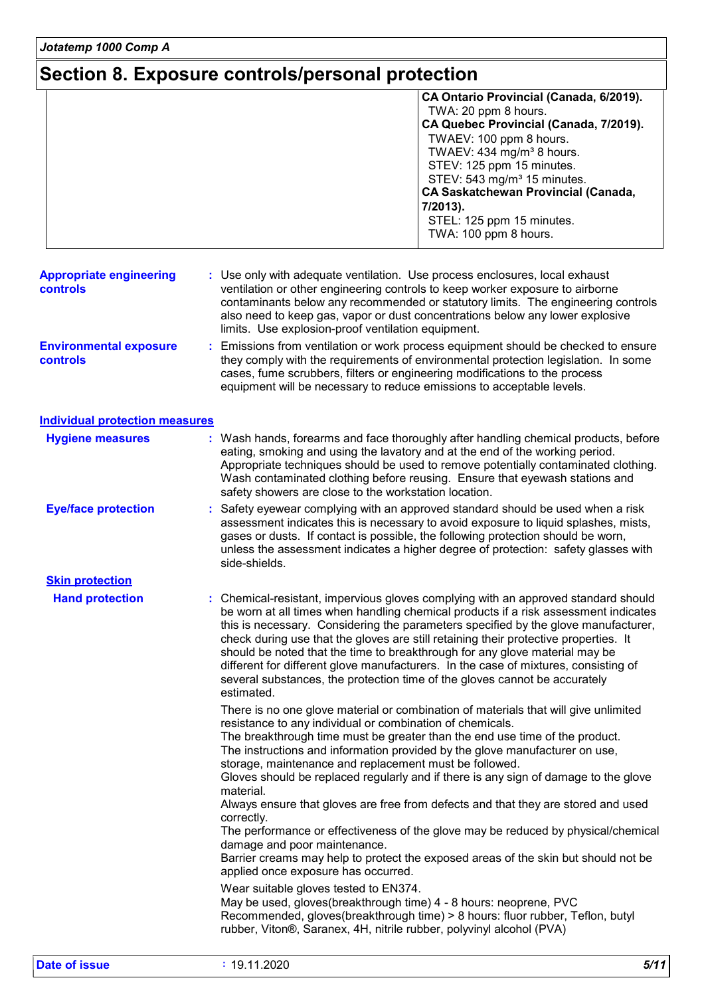# **Section 8. Exposure controls/personal protection**

|                                                   | CA Ontario Provincial (Canada, 6/2019).<br>TWA: 20 ppm 8 hours.<br>CA Quebec Provincial (Canada, 7/2019).<br>TWAEV: 100 ppm 8 hours.<br>TWAEV: 434 mg/m <sup>3</sup> 8 hours.<br>STEV: 125 ppm 15 minutes.<br>STEV: 543 mg/m <sup>3</sup> 15 minutes.<br>CA Saskatchewan Provincial (Canada,<br>7/2013).<br>STEL: 125 ppm 15 minutes.<br>TWA: 100 ppm 8 hours.                                                                                                                                                                                                                                                            |
|---------------------------------------------------|---------------------------------------------------------------------------------------------------------------------------------------------------------------------------------------------------------------------------------------------------------------------------------------------------------------------------------------------------------------------------------------------------------------------------------------------------------------------------------------------------------------------------------------------------------------------------------------------------------------------------|
| <b>Appropriate engineering</b><br><b>controls</b> | : Use only with adequate ventilation. Use process enclosures, local exhaust<br>ventilation or other engineering controls to keep worker exposure to airborne<br>contaminants below any recommended or statutory limits. The engineering controls<br>also need to keep gas, vapor or dust concentrations below any lower explosive<br>limits. Use explosion-proof ventilation equipment.                                                                                                                                                                                                                                   |
| <b>Environmental exposure</b><br>controls         | Emissions from ventilation or work process equipment should be checked to ensure<br>they comply with the requirements of environmental protection legislation. In some<br>cases, fume scrubbers, filters or engineering modifications to the process<br>equipment will be necessary to reduce emissions to acceptable levels.                                                                                                                                                                                                                                                                                             |
| <b>Individual protection measures</b>             |                                                                                                                                                                                                                                                                                                                                                                                                                                                                                                                                                                                                                           |
| <b>Hygiene measures</b>                           | : Wash hands, forearms and face thoroughly after handling chemical products, before<br>eating, smoking and using the lavatory and at the end of the working period.<br>Appropriate techniques should be used to remove potentially contaminated clothing.<br>Wash contaminated clothing before reusing. Ensure that eyewash stations and<br>safety showers are close to the workstation location.                                                                                                                                                                                                                         |
| <b>Eye/face protection</b>                        | Safety eyewear complying with an approved standard should be used when a risk<br>assessment indicates this is necessary to avoid exposure to liquid splashes, mists,<br>gases or dusts. If contact is possible, the following protection should be worn,<br>unless the assessment indicates a higher degree of protection: safety glasses with<br>side-shields.                                                                                                                                                                                                                                                           |
| <b>Skin protection</b>                            |                                                                                                                                                                                                                                                                                                                                                                                                                                                                                                                                                                                                                           |
| <b>Hand protection</b>                            | : Chemical-resistant, impervious gloves complying with an approved standard should<br>be worn at all times when handling chemical products if a risk assessment indicates<br>this is necessary. Considering the parameters specified by the glove manufacturer,<br>check during use that the gloves are still retaining their protective properties. It<br>should be noted that the time to breakthrough for any glove material may be<br>different for different glove manufacturers. In the case of mixtures, consisting of<br>several substances, the protection time of the gloves cannot be accurately<br>estimated. |
|                                                   | There is no one glove material or combination of materials that will give unlimited<br>resistance to any individual or combination of chemicals.<br>The breakthrough time must be greater than the end use time of the product.<br>The instructions and information provided by the glove manufacturer on use,<br>storage, maintenance and replacement must be followed.                                                                                                                                                                                                                                                  |
|                                                   | Gloves should be replaced regularly and if there is any sign of damage to the glove<br>material.<br>Always ensure that gloves are free from defects and that they are stored and used<br>correctly.                                                                                                                                                                                                                                                                                                                                                                                                                       |
|                                                   | The performance or effectiveness of the glove may be reduced by physical/chemical<br>damage and poor maintenance.<br>Barrier creams may help to protect the exposed areas of the skin but should not be<br>applied once exposure has occurred.                                                                                                                                                                                                                                                                                                                                                                            |
|                                                   | Wear suitable gloves tested to EN374.<br>May be used, gloves(breakthrough time) 4 - 8 hours: neoprene, PVC<br>Recommended, gloves(breakthrough time) > 8 hours: fluor rubber, Teflon, butyl<br>rubber, Viton®, Saranex, 4H, nitrile rubber, polyvinyl alcohol (PVA)                                                                                                                                                                                                                                                                                                                                                       |
| <b>Date of issue</b>                              | : 19.11.2020<br>5/11                                                                                                                                                                                                                                                                                                                                                                                                                                                                                                                                                                                                      |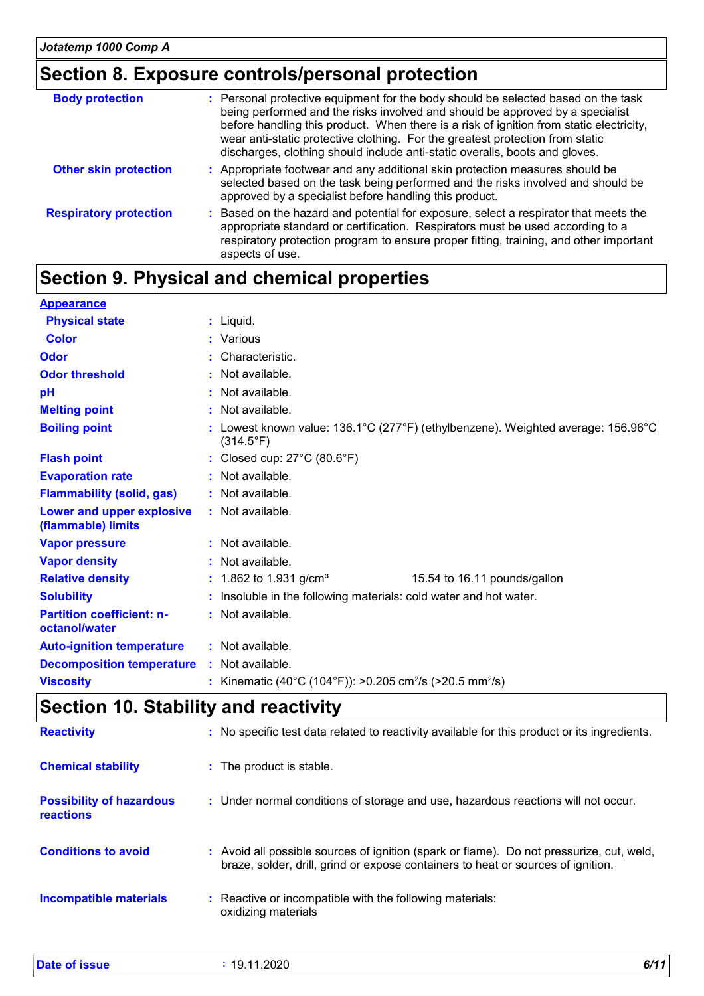# **Section 8. Exposure controls/personal protection**

| <b>Body protection</b>        | : Personal protective equipment for the body should be selected based on the task<br>being performed and the risks involved and should be approved by a specialist<br>before handling this product. When there is a risk of ignition from static electricity,<br>wear anti-static protective clothing. For the greatest protection from static<br>discharges, clothing should include anti-static overalls, boots and gloves. |
|-------------------------------|-------------------------------------------------------------------------------------------------------------------------------------------------------------------------------------------------------------------------------------------------------------------------------------------------------------------------------------------------------------------------------------------------------------------------------|
| <b>Other skin protection</b>  | : Appropriate footwear and any additional skin protection measures should be<br>selected based on the task being performed and the risks involved and should be<br>approved by a specialist before handling this product.                                                                                                                                                                                                     |
| <b>Respiratory protection</b> | : Based on the hazard and potential for exposure, select a respirator that meets the<br>appropriate standard or certification. Respirators must be used according to a<br>respiratory protection program to ensure proper fitting, training, and other important<br>aspects of use.                                                                                                                                           |

# **Section 9. Physical and chemical properties**

| <b>Appearance</b>                                 |                                                                                                                                       |  |  |
|---------------------------------------------------|---------------------------------------------------------------------------------------------------------------------------------------|--|--|
| <b>Physical state</b>                             | : Liquid.                                                                                                                             |  |  |
| <b>Color</b>                                      | : Various                                                                                                                             |  |  |
| Odor                                              | : Characteristic.                                                                                                                     |  |  |
| <b>Odor threshold</b>                             | $\cdot$ Not available.                                                                                                                |  |  |
| рH                                                | : Not available.                                                                                                                      |  |  |
| <b>Melting point</b>                              | : Not available.                                                                                                                      |  |  |
| <b>Boiling point</b>                              | : Lowest known value: $136.1^{\circ}$ C (277 $^{\circ}$ F) (ethylbenzene). Weighted average: $156.96^{\circ}$ C<br>$(314.5^{\circ}F)$ |  |  |
| <b>Flash point</b>                                | : Closed cup: $27^{\circ}$ C (80.6 $^{\circ}$ F)                                                                                      |  |  |
| <b>Evaporation rate</b>                           | : Not available.                                                                                                                      |  |  |
| <b>Flammability (solid, gas)</b>                  | : Not available.                                                                                                                      |  |  |
| Lower and upper explosive<br>(flammable) limits   | : Not available.                                                                                                                      |  |  |
| <b>Vapor pressure</b>                             | : Not available.                                                                                                                      |  |  |
| <b>Vapor density</b>                              | : Not available.                                                                                                                      |  |  |
| <b>Relative density</b>                           | : 1.862 to 1.931 g/cm <sup>3</sup><br>15.54 to 16.11 pounds/gallon                                                                    |  |  |
| <b>Solubility</b>                                 | : Insoluble in the following materials: cold water and hot water.                                                                     |  |  |
| <b>Partition coefficient: n-</b><br>octanol/water | : Not available.                                                                                                                      |  |  |
| <b>Auto-ignition temperature</b>                  | : Not available.                                                                                                                      |  |  |
| <b>Decomposition temperature</b>                  | : Not available.                                                                                                                      |  |  |
| <b>Viscosity</b>                                  | : Kinematic (40°C (104°F)): >0.205 cm <sup>2</sup> /s (>20.5 mm <sup>2</sup> /s)                                                      |  |  |
|                                                   |                                                                                                                                       |  |  |

## **Section 10. Stability and reactivity**

| <b>Reactivity</b>                            | : No specific test data related to reactivity available for this product or its ingredients.                                                                                 |
|----------------------------------------------|------------------------------------------------------------------------------------------------------------------------------------------------------------------------------|
| <b>Chemical stability</b>                    | : The product is stable.                                                                                                                                                     |
| <b>Possibility of hazardous</b><br>reactions | : Under normal conditions of storage and use, hazardous reactions will not occur.                                                                                            |
| <b>Conditions to avoid</b>                   | : Avoid all possible sources of ignition (spark or flame). Do not pressurize, cut, weld,<br>braze, solder, drill, grind or expose containers to heat or sources of ignition. |
| Incompatible materials                       | : Reactive or incompatible with the following materials:<br>oxidizing materials                                                                                              |

**Date of issue :** 19.11.2020 *6/11*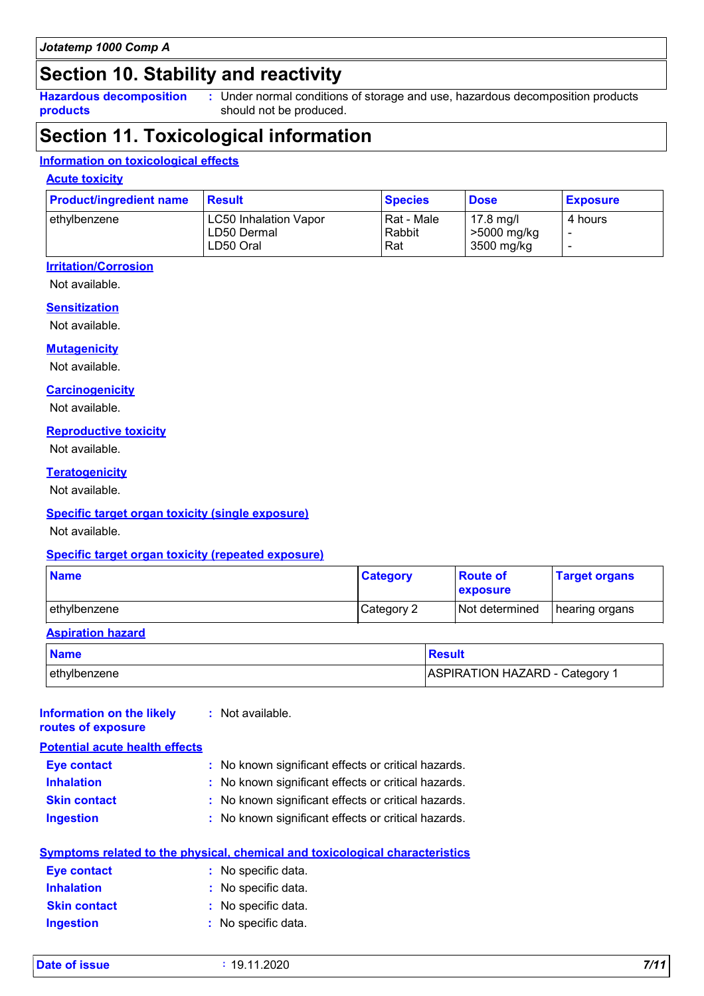### **Section 10. Stability and reactivity**

**Hazardous decomposition products**

Under normal conditions of storage and use, hazardous decomposition products **:** should not be produced.

# **Section 11. Toxicological information**

#### **Information on toxicological effects**

#### **Acute toxicity**

| <b>Product/ingredient name</b> | <b>Result</b>                                            | <b>Species</b>                | <b>Dose</b>                            | <b>Exposure</b> |
|--------------------------------|----------------------------------------------------------|-------------------------------|----------------------------------------|-----------------|
| l ethvlbenzene_                | <b>LC50 Inhalation Vapor</b><br>LD50 Dermal<br>LD50 Oral | l Rat - Male<br>Rabbit<br>Rat | 17.8 mg/l<br>>5000 mg/kg<br>3500 mg/kg | 4 hours         |

### **Irritation/Corrosion**

Not available.

#### **Sensitization**

Not available.

#### **Mutagenicity**

Not available.

#### **Carcinogenicity**

Not available.

#### **Reproductive toxicity**

Not available.

#### **Teratogenicity**

Not available.

#### **Specific target organ toxicity (single exposure)**

Not available.

#### **Specific target organ toxicity (repeated exposure)**

| <b>Name</b>              | <b>Category</b> | <b>Route of</b><br>exposure | <b>Target organs</b> |
|--------------------------|-----------------|-----------------------------|----------------------|
| ethylbenzene             | Category 2      | Not determined              | hearing organs       |
| <b>Aspiration hazard</b> |                 |                             |                      |

# **Name Result** ethylbenzene ASPIRATION HAZARD - Category 1

| <b>Information on the likely</b><br>routes of exposure | : Not available.                                                             |
|--------------------------------------------------------|------------------------------------------------------------------------------|
| <b>Potential acute health effects</b>                  |                                                                              |
| <b>Eye contact</b>                                     | : No known significant effects or critical hazards.                          |
| <b>Inhalation</b>                                      | : No known significant effects or critical hazards.                          |
| <b>Skin contact</b>                                    | : No known significant effects or critical hazards.                          |
| <b>Ingestion</b>                                       | : No known significant effects or critical hazards.                          |
|                                                        | Symptoms related to the physical, chemical and toxicological characteristics |
| Eye contact                                            | : No specific data.                                                          |
| <b>Inhalation</b>                                      | : No specific data.                                                          |
| <b>Skin contact</b>                                    | No specific data.                                                            |
| <b>Ingestion</b>                                       | : No specific data.                                                          |
|                                                        |                                                                              |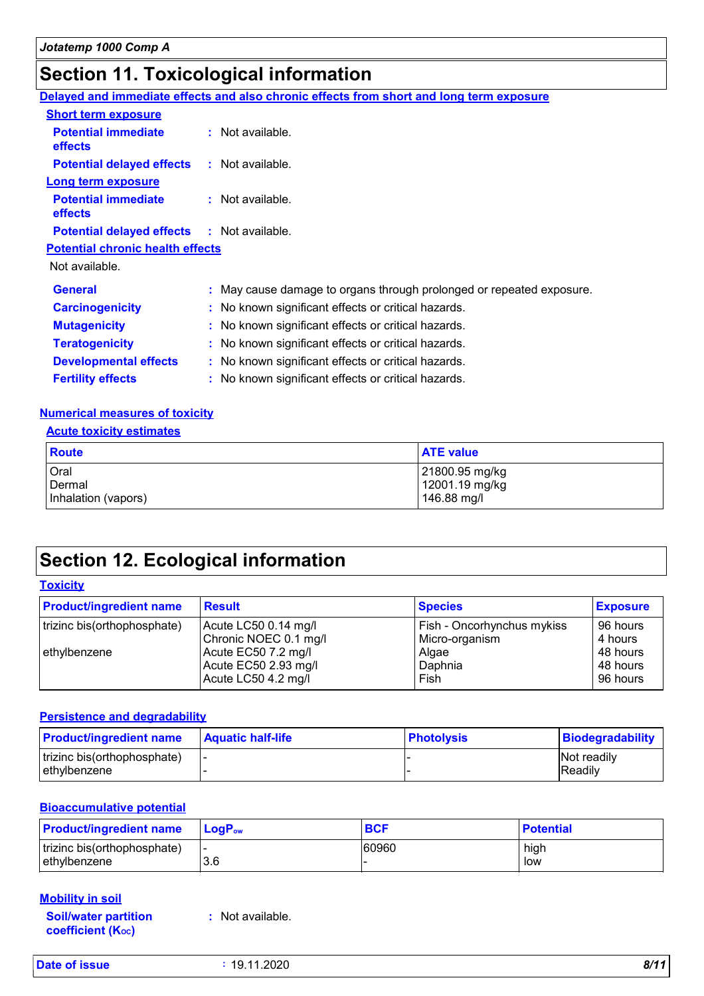# **Section 11. Toxicological information**

|                                                   | Delayed and immediate effects and also chronic effects from short and long term exposure |
|---------------------------------------------------|------------------------------------------------------------------------------------------|
| <b>Short term exposure</b>                        |                                                                                          |
| <b>Potential immediate</b><br>effects             | : Not available.                                                                         |
| <b>Potential delayed effects</b>                  | : Not available.                                                                         |
| <b>Long term exposure</b>                         |                                                                                          |
| <b>Potential immediate</b><br><b>effects</b>      | : Not available.                                                                         |
| <b>Potential delayed effects : Not available.</b> |                                                                                          |
| <b>Potential chronic health effects</b>           |                                                                                          |
| Not available.                                    |                                                                                          |
| <b>General</b>                                    | : May cause damage to organs through prolonged or repeated exposure.                     |
| <b>Carcinogenicity</b>                            | : No known significant effects or critical hazards.                                      |
| <b>Mutagenicity</b>                               | : No known significant effects or critical hazards.                                      |
| <b>Teratogenicity</b>                             | : No known significant effects or critical hazards.                                      |
| <b>Developmental effects</b>                      | : No known significant effects or critical hazards.                                      |
| <b>Fertility effects</b>                          | : No known significant effects or critical hazards.                                      |

#### **Numerical measures of toxicity**

#### **Acute toxicity estimates**

| Route               | <b>ATE value</b> |
|---------------------|------------------|
| <b>Oral</b>         | 21800.95 mg/kg   |
| Dermal              | 12001.19 mg/kg   |
| Inhalation (vapors) | 146.88 mg/l      |

# **Section 12. Ecological information**

#### **Toxicity**

| <b>Product/ingredient name</b> | <b>Result</b>         | <b>Species</b>             | <b>Exposure</b> |
|--------------------------------|-----------------------|----------------------------|-----------------|
| trizinc bis(orthophosphate)    | Acute LC50 0.14 mg/l  | Fish - Oncorhynchus mykiss | 96 hours        |
|                                | Chronic NOEC 0.1 mg/l | Micro-organism             | 4 hours         |
| ethylbenzene                   | Acute EC50 7.2 mg/l   | Algae                      | 48 hours        |
|                                | Acute EC50 2.93 mg/l  | Daphnia                    | 48 hours        |
|                                | Acute LC50 4.2 mg/l   | Fish                       | 96 hours        |

#### **Persistence and degradability**

| <b>Product/ingredient name</b> | <b>Aquatic half-life</b> | ∣ Photolvsis | Biodegradability   |
|--------------------------------|--------------------------|--------------|--------------------|
| trizinc bis(orthophosphate)    |                          |              | <b>Not readily</b> |
| l ethvlbenzene                 |                          |              | <b>Readily</b>     |

#### **Bioaccumulative potential**

| <b>Product/ingredient name</b>              | <b>LoaP</b> <sub>ow</sub> | <b>BCF</b> | <b>Potential</b> |
|---------------------------------------------|---------------------------|------------|------------------|
| trizinc bis(orthophosphate)<br>ethylbenzene | 3.6                       | 60960      | high<br>low      |

#### **Mobility in soil**

**Soil/water partition coefficient (KOC)**

**:** Not available.

**Date of issue :** 19.11.2020 *8/11*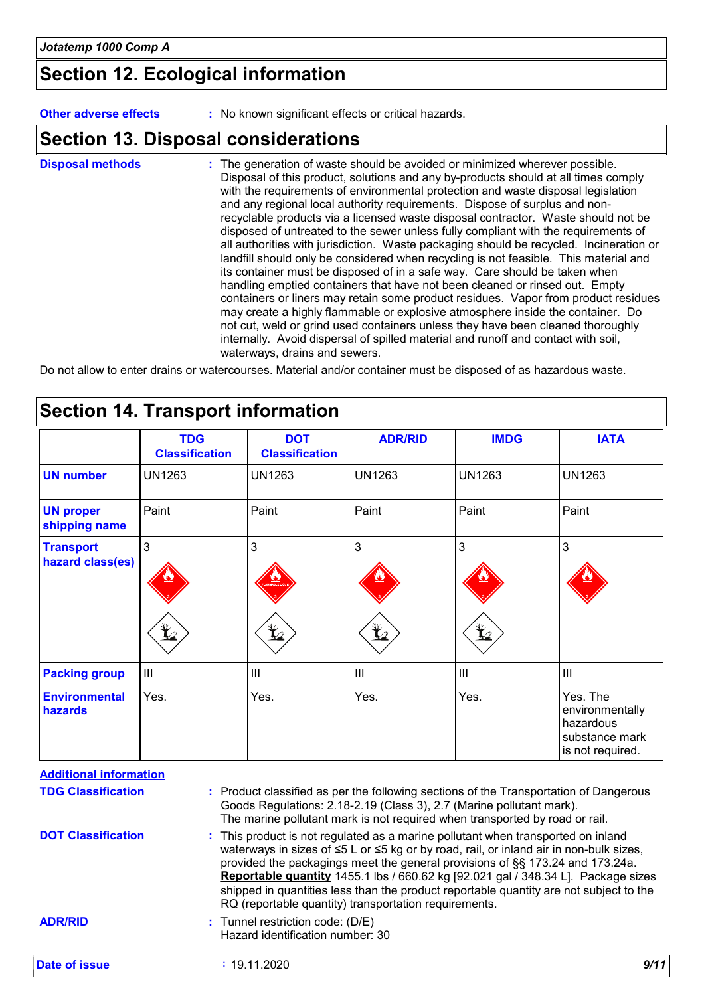# **Section 12. Ecological information**

**Other adverse effects** : No known significant effects or critical hazards.

# **Section 13. Disposal considerations**

| <b>Disposal methods</b> | : The generation of waste should be avoided or minimized wherever possible.<br>Disposal of this product, solutions and any by-products should at all times comply<br>with the requirements of environmental protection and waste disposal legislation<br>and any regional local authority requirements. Dispose of surplus and non-<br>recyclable products via a licensed waste disposal contractor. Waste should not be<br>disposed of untreated to the sewer unless fully compliant with the requirements of<br>all authorities with jurisdiction. Waste packaging should be recycled. Incineration or<br>landfill should only be considered when recycling is not feasible. This material and<br>its container must be disposed of in a safe way. Care should be taken when<br>handling emptied containers that have not been cleaned or rinsed out. Empty<br>containers or liners may retain some product residues. Vapor from product residues<br>may create a highly flammable or explosive atmosphere inside the container. Do<br>not cut, weld or grind used containers unless they have been cleaned thoroughly<br>internally. Avoid dispersal of spilled material and runoff and contact with soil, |
|-------------------------|---------------------------------------------------------------------------------------------------------------------------------------------------------------------------------------------------------------------------------------------------------------------------------------------------------------------------------------------------------------------------------------------------------------------------------------------------------------------------------------------------------------------------------------------------------------------------------------------------------------------------------------------------------------------------------------------------------------------------------------------------------------------------------------------------------------------------------------------------------------------------------------------------------------------------------------------------------------------------------------------------------------------------------------------------------------------------------------------------------------------------------------------------------------------------------------------------------------|
|                         | waterways, drains and sewers.                                                                                                                                                                                                                                                                                                                                                                                                                                                                                                                                                                                                                                                                                                                                                                                                                                                                                                                                                                                                                                                                                                                                                                                 |

Do not allow to enter drains or watercourses. Material and/or container must be disposed of as hazardous waste.

|                                      | <b>TDG</b><br><b>Classification</b> | <b>DOT</b><br><b>Classification</b> | <b>ADR/RID</b> | <b>IMDG</b>      | <b>IATA</b>                                                                    |
|--------------------------------------|-------------------------------------|-------------------------------------|----------------|------------------|--------------------------------------------------------------------------------|
| <b>UN number</b>                     | <b>UN1263</b>                       | <b>UN1263</b>                       | <b>UN1263</b>  | <b>UN1263</b>    | <b>UN1263</b>                                                                  |
| <b>UN proper</b><br>shipping name    | Paint                               | Paint                               | Paint          | Paint            | Paint                                                                          |
| <b>Transport</b><br>hazard class(es) | 3                                   | 3                                   | 3              | 3                | 3                                                                              |
|                                      | $\bigstar$                          | $\bigstar$                          | $\bigstar$     | $\mathbf{Y}_{2}$ |                                                                                |
| <b>Packing group</b>                 | $\mathbf{III}$                      | $\mathbf{III}$                      | III            | $\  \ $          | III                                                                            |
| <b>Environmental</b><br>hazards      | Yes.                                | Yes.                                | Yes.           | Yes.             | Yes. The<br>environmentally<br>hazardous<br>substance mark<br>is not required. |

| <b>Additional information</b> |                                                                                                                                                                                                                                                                                                                                                                                                                                                                                                     |  |  |
|-------------------------------|-----------------------------------------------------------------------------------------------------------------------------------------------------------------------------------------------------------------------------------------------------------------------------------------------------------------------------------------------------------------------------------------------------------------------------------------------------------------------------------------------------|--|--|
| <b>TDG Classification</b>     | : Product classified as per the following sections of the Transportation of Dangerous<br>Goods Regulations: 2.18-2.19 (Class 3), 2.7 (Marine pollutant mark).<br>The marine pollutant mark is not required when transported by road or rail.                                                                                                                                                                                                                                                        |  |  |
| <b>DOT Classification</b>     | : This product is not regulated as a marine pollutant when transported on inland<br>waterways in sizes of ≤5 L or ≤5 kg or by road, rail, or inland air in non-bulk sizes,<br>provided the packagings meet the general provisions of §§ 173.24 and 173.24a.<br>Reportable quantity 1455.1 lbs / 660.62 kg [92.021 gal / 348.34 L]. Package sizes<br>shipped in quantities less than the product reportable quantity are not subject to the<br>RQ (reportable quantity) transportation requirements. |  |  |
| <b>ADR/RID</b>                | : Tunnel restriction code: (D/E)<br>Hazard identification number: 30                                                                                                                                                                                                                                                                                                                                                                                                                                |  |  |
| Date of issue                 | : 19.11.2020                                                                                                                                                                                                                                                                                                                                                                                                                                                                                        |  |  |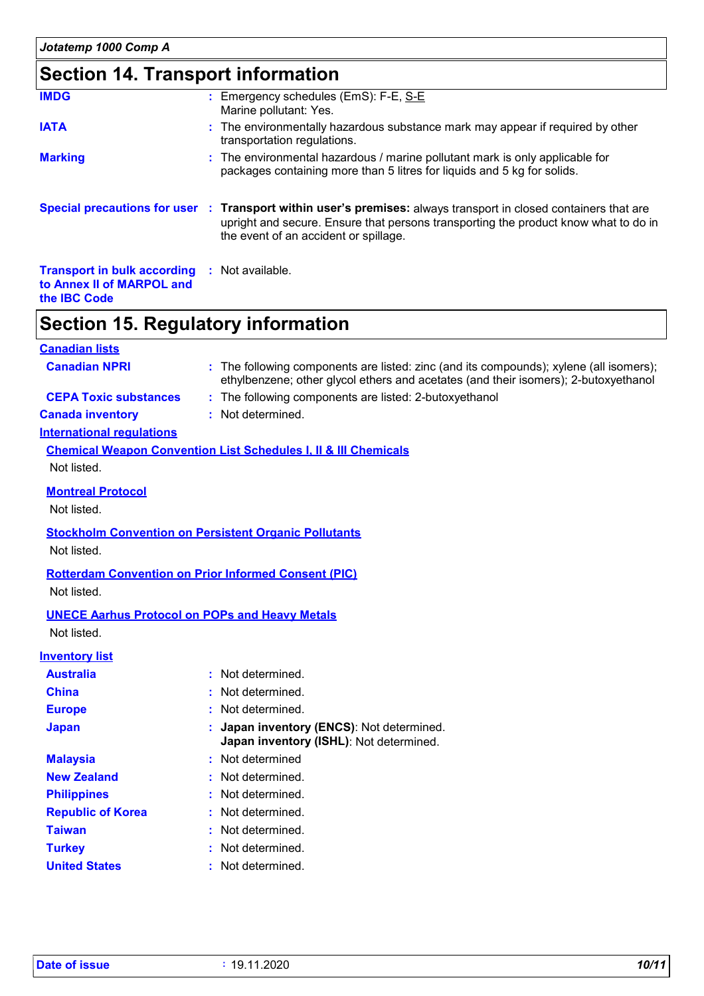# **Section 14. Transport information**

| <b>IMDG</b>                                                                                             | : Emergency schedules (EmS): F-E, S-E<br>Marine pollutant: Yes.                                                                                                                                                                                 |
|---------------------------------------------------------------------------------------------------------|-------------------------------------------------------------------------------------------------------------------------------------------------------------------------------------------------------------------------------------------------|
| <b>IATA</b>                                                                                             | : The environmentally hazardous substance mark may appear if required by other<br>transportation regulations.                                                                                                                                   |
| <b>Marking</b>                                                                                          | : The environmental hazardous / marine pollutant mark is only applicable for<br>packages containing more than 5 litres for liquids and 5 kg for solids.                                                                                         |
|                                                                                                         | Special precautions for user : Transport within user's premises: always transport in closed containers that are<br>upright and secure. Ensure that persons transporting the product know what to do in<br>the event of an accident or spillage. |
| <b>Transport in bulk according : Not available.</b><br>to Annex II of MARPOL and<br>the <b>IBC</b> Code |                                                                                                                                                                                                                                                 |

# **Section 15. Regulatory information**

| <b>Canadian lists</b>            |                                                                                                                                                                               |
|----------------------------------|-------------------------------------------------------------------------------------------------------------------------------------------------------------------------------|
| <b>Canadian NPRI</b>             | : The following components are listed: zinc (and its compounds); xylene (all isomers);<br>ethylbenzene; other glycol ethers and acetates (and their isomers); 2-butoxyethanol |
| <b>CEPA Toxic substances</b>     | : The following components are listed: 2-butoxyethanol                                                                                                                        |
| <b>Canada inventory</b>          | : Not determined.                                                                                                                                                             |
| <b>International regulations</b> |                                                                                                                                                                               |
|                                  | <b>Chemical Weapon Convention List Schedules I, II &amp; III Chemicals</b>                                                                                                    |
| Not listed.                      |                                                                                                                                                                               |
| <b>Montreal Protocol</b>         |                                                                                                                                                                               |
| Not listed.                      |                                                                                                                                                                               |
|                                  | <b>Stockholm Convention on Persistent Organic Pollutants</b>                                                                                                                  |
| Not listed.                      |                                                                                                                                                                               |
|                                  | <b>Rotterdam Convention on Prior Informed Consent (PIC)</b>                                                                                                                   |
| Not listed.                      |                                                                                                                                                                               |
|                                  | <b>UNECE Aarhus Protocol on POPs and Heavy Metals</b>                                                                                                                         |
| Not listed.                      |                                                                                                                                                                               |
| <b>Inventory list</b>            |                                                                                                                                                                               |
| <b>Australia</b>                 | : Not determined.                                                                                                                                                             |
| <b>China</b>                     | Not determined.                                                                                                                                                               |
| <b>Europe</b>                    | Not determined.                                                                                                                                                               |
| <b>Japan</b>                     | Japan inventory (ENCS): Not determined.<br>Japan inventory (ISHL): Not determined.                                                                                            |
| <b>Malaysia</b>                  | Not determined                                                                                                                                                                |
| <b>New Zealand</b>               | Not determined.                                                                                                                                                               |
| <b>Philippines</b>               | Not determined.                                                                                                                                                               |
| <b>Republic of Korea</b>         | Not determined.                                                                                                                                                               |
| <b>Taiwan</b>                    | Not determined.                                                                                                                                                               |
| <b>Turkey</b>                    | Not determined.                                                                                                                                                               |
| <b>United States</b>             | : Not determined.                                                                                                                                                             |
|                                  |                                                                                                                                                                               |